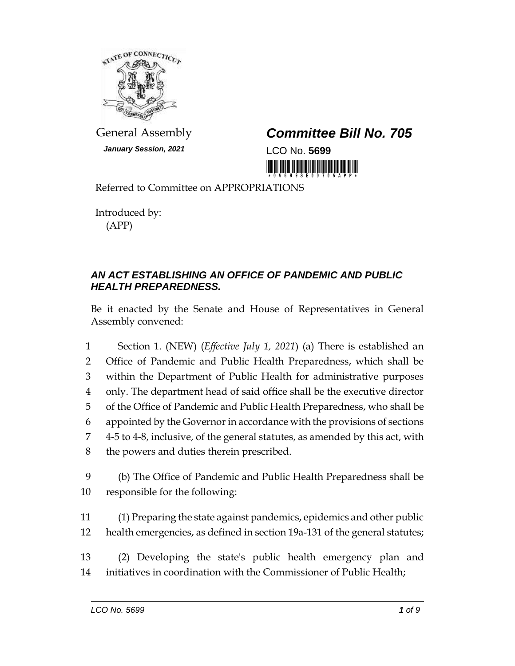

*January Session, 2021* LCO No. **5699**

## General Assembly *Committee Bill No. 705*

<u> Hill Mill Mill Mill</u>

Referred to Committee on APPROPRIATIONS

Introduced by: (APP)

## *AN ACT ESTABLISHING AN OFFICE OF PANDEMIC AND PUBLIC HEALTH PREPAREDNESS.*

Be it enacted by the Senate and House of Representatives in General Assembly convened:

- 1 Section 1. (NEW) (*Effective July 1, 2021*) (a) There is established an 2 Office of Pandemic and Public Health Preparedness, which shall be 3 within the Department of Public Health for administrative purposes 4 only. The department head of said office shall be the executive director 5 of the Office of Pandemic and Public Health Preparedness, who shall be 6 appointed by the Governor in accordance with the provisions of sections 7 4-5 to 4-8, inclusive, of the general statutes, as amended by this act, with 8 the powers and duties therein prescribed. 9 (b) The Office of Pandemic and Public Health Preparedness shall be 10 responsible for the following:
- 11 (1) Preparing the state against pandemics, epidemics and other public 12 health emergencies, as defined in section 19a-131 of the general statutes;
- 13 (2) Developing the state's public health emergency plan and 14 initiatives in coordination with the Commissioner of Public Health;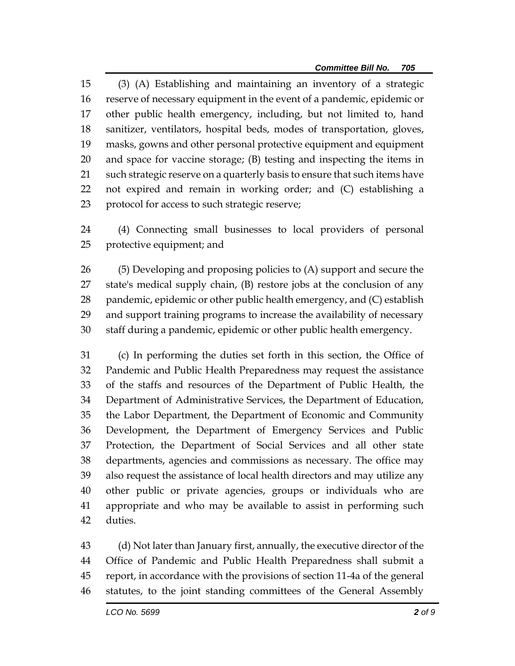(3) (A) Establishing and maintaining an inventory of a strategic reserve of necessary equipment in the event of a pandemic, epidemic or other public health emergency, including, but not limited to, hand sanitizer, ventilators, hospital beds, modes of transportation, gloves, masks, gowns and other personal protective equipment and equipment and space for vaccine storage; (B) testing and inspecting the items in such strategic reserve on a quarterly basis to ensure that such items have not expired and remain in working order; and (C) establishing a protocol for access to such strategic reserve;

 (4) Connecting small businesses to local providers of personal protective equipment; and

 (5) Developing and proposing policies to (A) support and secure the state's medical supply chain, (B) restore jobs at the conclusion of any pandemic, epidemic or other public health emergency, and (C) establish and support training programs to increase the availability of necessary staff during a pandemic, epidemic or other public health emergency.

 (c) In performing the duties set forth in this section, the Office of Pandemic and Public Health Preparedness may request the assistance of the staffs and resources of the Department of Public Health, the Department of Administrative Services, the Department of Education, the Labor Department, the Department of Economic and Community Development, the Department of Emergency Services and Public Protection, the Department of Social Services and all other state departments, agencies and commissions as necessary. The office may also request the assistance of local health directors and may utilize any other public or private agencies, groups or individuals who are appropriate and who may be available to assist in performing such duties.

 (d) Not later than January first, annually, the executive director of the Office of Pandemic and Public Health Preparedness shall submit a report, in accordance with the provisions of section 11-4a of the general statutes, to the joint standing committees of the General Assembly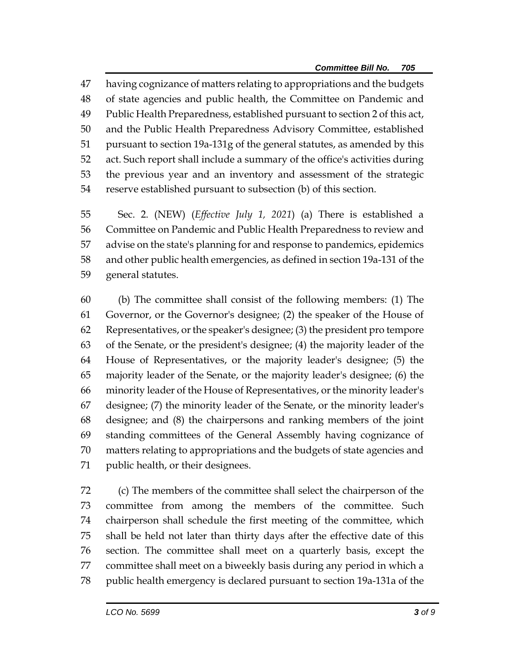having cognizance of matters relating to appropriations and the budgets of state agencies and public health, the Committee on Pandemic and Public Health Preparedness, established pursuant to section 2 of this act, and the Public Health Preparedness Advisory Committee, established pursuant to section 19a-131g of the general statutes, as amended by this act. Such report shall include a summary of the office's activities during the previous year and an inventory and assessment of the strategic reserve established pursuant to subsection (b) of this section.

 Sec. 2. (NEW) (*Effective July 1, 2021*) (a) There is established a Committee on Pandemic and Public Health Preparedness to review and advise on the state's planning for and response to pandemics, epidemics and other public health emergencies, as defined in section 19a-131 of the general statutes.

 (b) The committee shall consist of the following members: (1) The Governor, or the Governor's designee; (2) the speaker of the House of Representatives, or the speaker's designee; (3) the president pro tempore of the Senate, or the president's designee; (4) the majority leader of the House of Representatives, or the majority leader's designee; (5) the majority leader of the Senate, or the majority leader's designee; (6) the minority leader of the House of Representatives, or the minority leader's designee; (7) the minority leader of the Senate, or the minority leader's designee; and (8) the chairpersons and ranking members of the joint standing committees of the General Assembly having cognizance of matters relating to appropriations and the budgets of state agencies and public health, or their designees.

 (c) The members of the committee shall select the chairperson of the committee from among the members of the committee. Such chairperson shall schedule the first meeting of the committee, which shall be held not later than thirty days after the effective date of this section. The committee shall meet on a quarterly basis, except the committee shall meet on a biweekly basis during any period in which a public health emergency is declared pursuant to section 19a-131a of the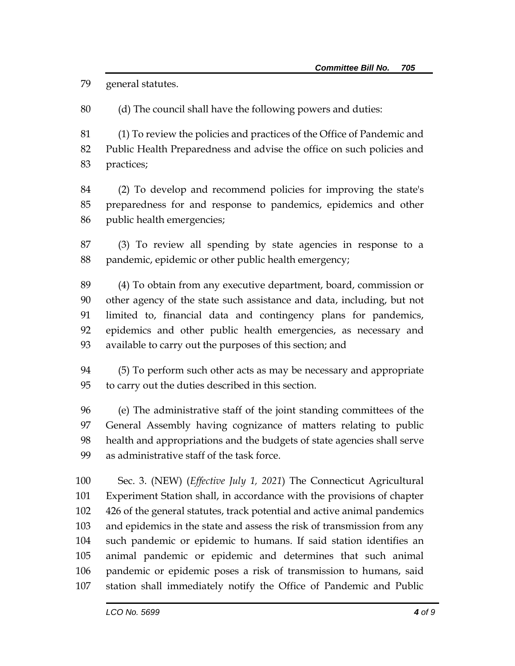general statutes.

(d) The council shall have the following powers and duties:

 (1) To review the policies and practices of the Office of Pandemic and Public Health Preparedness and advise the office on such policies and practices;

 (2) To develop and recommend policies for improving the state's preparedness for and response to pandemics, epidemics and other public health emergencies;

 (3) To review all spending by state agencies in response to a pandemic, epidemic or other public health emergency;

 (4) To obtain from any executive department, board, commission or other agency of the state such assistance and data, including, but not limited to, financial data and contingency plans for pandemics, epidemics and other public health emergencies, as necessary and available to carry out the purposes of this section; and

 (5) To perform such other acts as may be necessary and appropriate to carry out the duties described in this section.

 (e) The administrative staff of the joint standing committees of the General Assembly having cognizance of matters relating to public health and appropriations and the budgets of state agencies shall serve as administrative staff of the task force.

 Sec. 3. (NEW) (*Effective July 1, 2021*) The Connecticut Agricultural Experiment Station shall, in accordance with the provisions of chapter 426 of the general statutes, track potential and active animal pandemics and epidemics in the state and assess the risk of transmission from any such pandemic or epidemic to humans. If said station identifies an animal pandemic or epidemic and determines that such animal pandemic or epidemic poses a risk of transmission to humans, said station shall immediately notify the Office of Pandemic and Public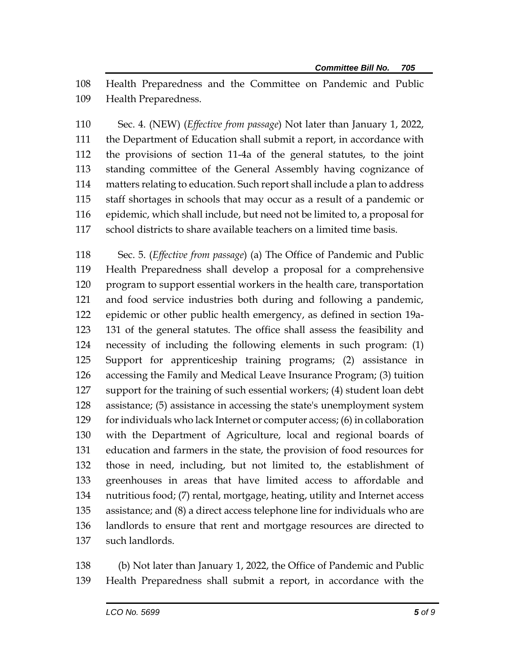Health Preparedness and the Committee on Pandemic and Public Health Preparedness.

 Sec. 4. (NEW) (*Effective from passage*) Not later than January 1, 2022, the Department of Education shall submit a report, in accordance with the provisions of section 11-4a of the general statutes, to the joint standing committee of the General Assembly having cognizance of matters relating to education. Such report shall include a plan to address staff shortages in schools that may occur as a result of a pandemic or epidemic, which shall include, but need not be limited to, a proposal for school districts to share available teachers on a limited time basis.

 Sec. 5. (*Effective from passage*) (a) The Office of Pandemic and Public Health Preparedness shall develop a proposal for a comprehensive program to support essential workers in the health care, transportation and food service industries both during and following a pandemic, epidemic or other public health emergency, as defined in section 19a- 131 of the general statutes. The office shall assess the feasibility and necessity of including the following elements in such program: (1) Support for apprenticeship training programs; (2) assistance in accessing the Family and Medical Leave Insurance Program; (3) tuition support for the training of such essential workers; (4) student loan debt assistance; (5) assistance in accessing the state's unemployment system for individuals who lack Internet or computer access; (6) in collaboration with the Department of Agriculture, local and regional boards of education and farmers in the state, the provision of food resources for those in need, including, but not limited to, the establishment of greenhouses in areas that have limited access to affordable and nutritious food; (7) rental, mortgage, heating, utility and Internet access assistance; and (8) a direct access telephone line for individuals who are landlords to ensure that rent and mortgage resources are directed to such landlords.

 (b) Not later than January 1, 2022, the Office of Pandemic and Public Health Preparedness shall submit a report, in accordance with the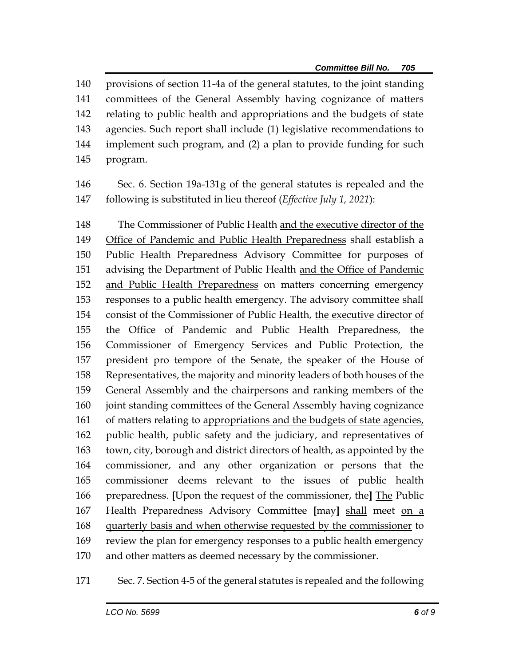provisions of section 11-4a of the general statutes, to the joint standing committees of the General Assembly having cognizance of matters relating to public health and appropriations and the budgets of state agencies. Such report shall include (1) legislative recommendations to implement such program, and (2) a plan to provide funding for such program.

 Sec. 6. Section 19a-131g of the general statutes is repealed and the following is substituted in lieu thereof (*Effective July 1, 2021*):

 The Commissioner of Public Health and the executive director of the Office of Pandemic and Public Health Preparedness shall establish a Public Health Preparedness Advisory Committee for purposes of advising the Department of Public Health and the Office of Pandemic and Public Health Preparedness on matters concerning emergency responses to a public health emergency. The advisory committee shall consist of the Commissioner of Public Health, the executive director of the Office of Pandemic and Public Health Preparedness, the Commissioner of Emergency Services and Public Protection, the president pro tempore of the Senate, the speaker of the House of Representatives, the majority and minority leaders of both houses of the General Assembly and the chairpersons and ranking members of the joint standing committees of the General Assembly having cognizance 161 of matters relating to appropriations and the budgets of state agencies, public health, public safety and the judiciary, and representatives of town, city, borough and district directors of health, as appointed by the commissioner, and any other organization or persons that the commissioner deems relevant to the issues of public health preparedness. **[**Upon the request of the commissioner, the**]** The Public Health Preparedness Advisory Committee **[**may**]** shall meet on a quarterly basis and when otherwise requested by the commissioner to review the plan for emergency responses to a public health emergency and other matters as deemed necessary by the commissioner.

Sec. 7. Section 4-5 of the general statutes is repealed and the following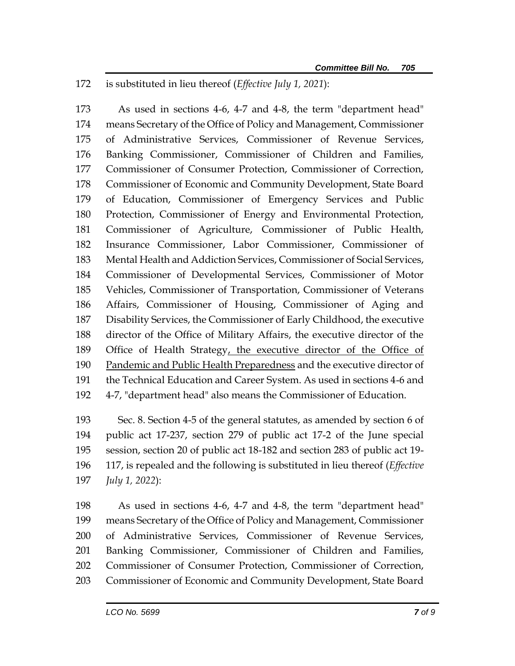is substituted in lieu thereof (*Effective July 1, 2021*):

 As used in sections 4-6, 4-7 and 4-8, the term "department head" means Secretary of the Office of Policy and Management, Commissioner of Administrative Services, Commissioner of Revenue Services, Banking Commissioner, Commissioner of Children and Families, Commissioner of Consumer Protection, Commissioner of Correction, Commissioner of Economic and Community Development, State Board of Education, Commissioner of Emergency Services and Public Protection, Commissioner of Energy and Environmental Protection, Commissioner of Agriculture, Commissioner of Public Health, Insurance Commissioner, Labor Commissioner, Commissioner of Mental Health and Addiction Services, Commissioner of Social Services, Commissioner of Developmental Services, Commissioner of Motor Vehicles, Commissioner of Transportation, Commissioner of Veterans Affairs, Commissioner of Housing, Commissioner of Aging and Disability Services, the Commissioner of Early Childhood, the executive director of the Office of Military Affairs, the executive director of the 189 Office of Health Strategy, the executive director of the Office of 190 Pandemic and Public Health Preparedness and the executive director of the Technical Education and Career System. As used in sections 4-6 and 4-7, "department head" also means the Commissioner of Education.

 Sec. 8. Section 4-5 of the general statutes, as amended by section 6 of public act 17-237, section 279 of public act 17-2 of the June special session, section 20 of public act 18-182 and section 283 of public act 19- 117, is repealed and the following is substituted in lieu thereof (*Effective July 1, 2022*):

 As used in sections 4-6, 4-7 and 4-8, the term "department head" means Secretary of the Office of Policy and Management, Commissioner of Administrative Services, Commissioner of Revenue Services, Banking Commissioner, Commissioner of Children and Families, Commissioner of Consumer Protection, Commissioner of Correction, Commissioner of Economic and Community Development, State Board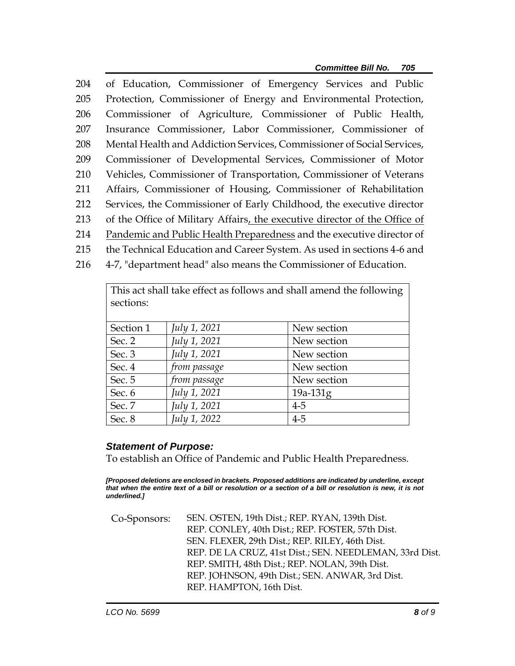of Education, Commissioner of Emergency Services and Public Protection, Commissioner of Energy and Environmental Protection, Commissioner of Agriculture, Commissioner of Public Health, Insurance Commissioner, Labor Commissioner, Commissioner of Mental Health and Addiction Services, Commissioner of Social Services, Commissioner of Developmental Services, Commissioner of Motor Vehicles, Commissioner of Transportation, Commissioner of Veterans Affairs, Commissioner of Housing, Commissioner of Rehabilitation Services, the Commissioner of Early Childhood, the executive director of the Office of Military Affairs, the executive director of the Office of Pandemic and Public Health Preparedness and the executive director of the Technical Education and Career System. As used in sections 4-6 and 4-7, "department head" also means the Commissioner of Education.

This act shall take effect as follows and shall amend the following sections: Section 1 *July 1, 2021* New section Sec. 2 *July 1, 2021* New section Sec. 3 *July 1, 2021* New section Sec. 4 *from passage* New section Sec. 5 *from passage* New section Sec. 6 *July 1, 2021* 19a-131g Sec. 7 *July 1, 2021* 4-5 Sec. 8 *July 1, 2022* 4-5

## *Statement of Purpose:*

To establish an Office of Pandemic and Public Health Preparedness.

*[Proposed deletions are enclosed in brackets. Proposed additions are indicated by underline, except that when the entire text of a bill or resolution or a section of a bill or resolution is new, it is not underlined.]*

Co-Sponsors: SEN. OSTEN, 19th Dist.; REP. RYAN, 139th Dist. REP. CONLEY, 40th Dist.; REP. FOSTER, 57th Dist. SEN. FLEXER, 29th Dist.; REP. RILEY, 46th Dist. REP. DE LA CRUZ, 41st Dist.; SEN. NEEDLEMAN, 33rd Dist. REP. SMITH, 48th Dist.; REP. NOLAN, 39th Dist. REP. JOHNSON, 49th Dist.; SEN. ANWAR, 3rd Dist. REP. HAMPTON, 16th Dist.